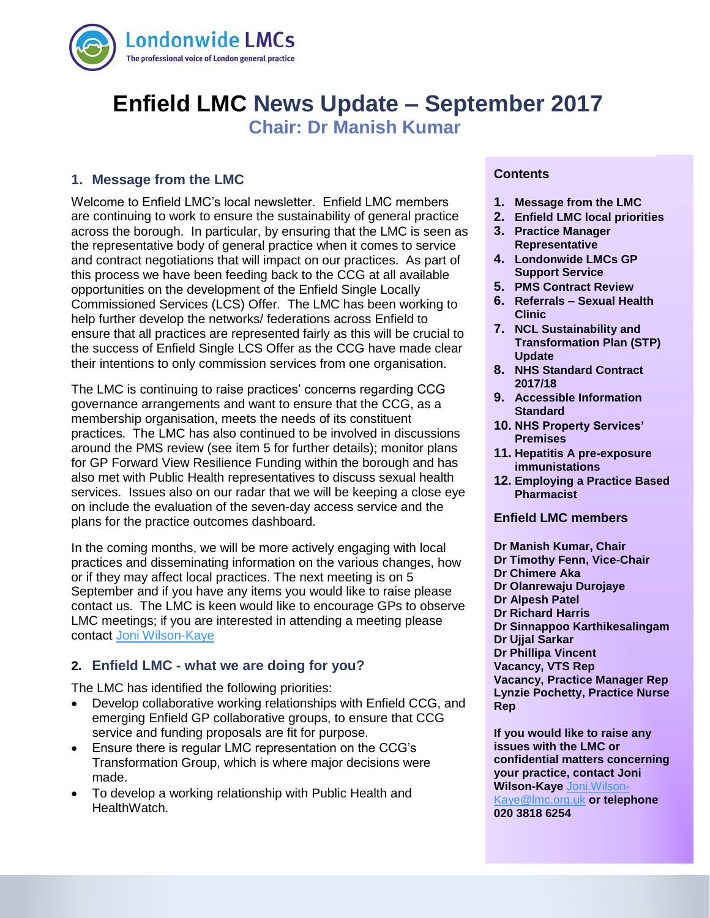

# **Enfield LMC News Update – September 2017**

# **Chair: Dr Manish Kumar**

# **1. Message from the LMC**

Welcome to Enfield LMC's local newsletter. Enfield LMC members are continuing to work to ensure the sustainability of general practice across the borough. In particular, by ensuring that the LMC is seen as the representative body of general practice when it comes to service and contract negotiations that will impact on our practices. As part of this process we have been feeding back to the CCG at all available opportunities on the development of the Enfield Single Locally Commissioned Services (LCS) Offer. The LMC has been working to help further develop the networks/ federations across Enfield to ensure that all practices are represented fairly as this will be crucial to the success of Enfield Single LCS Offer as the CCG have made clear their intentions to only commission services from one organisation.

The LMC is continuing to raise practices' concerns regarding CCG governance arrangements and want to ensure that the CCG, as a membership organisation, meets the needs of its constituent practices. The LMC has also continued to be involved in discussions around the PMS review (see item 5 for further details); monitor plans for GP Forward View Resilience Funding within the borough and has also met with Public Health representatives to discuss sexual health services. Issues also on our radar that we will be keeping a close eye on include the evaluation of the seven-day access service and the plans for the practice outcomes dashboard.

In the coming months, we will be more actively engaging with local practices and disseminating information on the various changes, how or if they may affect local practices. The next meeting is on 5 September and if you have any items you would like to raise please contact us. The LMC is keen would like to encourage GPs to observe LMC meetings; if you are interested in attending a meeting please contact [Joni Wilson-Kaye](mailto:joni.wilson-kaye@lmc.org.uk)

# **2. Enfield LMC - what we are doing for you?**

The LMC has identified the following priorities:

- Develop collaborative working relationships with Enfield CCG, and emerging Enfield GP collaborative groups, to ensure that CCG service and funding proposals are fit for purpose.
- Ensure there is regular LMC representation on the CCG's Transformation Group, which is where major decisions were made.
- To develop a working relationship with Public Health and HealthWatch.

#### **Contents**

- **1. Message from the LMC**
- **2. Enfield LMC local priorities**
- **3. Practice Manager Representative**
- **4. Londonwide LMCs GP Support Service**
- **5. PMS Contract Review**
- **6. Referrals – Sexual Health Clinic**
- **7. NCL Sustainability and Transformation Plan (STP) Update**
- **8. NHS Standard Contract 2017/18**
- **9. Accessible Information Standard**
- **10. NHS Property Services' Premises**
- **11. Hepatitis A pre-exposure immunistations**
- **12. Employing a Practice Based Pharmacist**

#### **Enfield LMC members**

- **Dr Manish Kumar, Chair**
- **Dr Timothy Fenn, Vice-Chair**
- **Dr Chimere Aka**
- **Dr Olanrewaju Durojaye**
- **Dr Alpesh Patel**
- **Dr Richard Harris**
- **Dr Sinnappoo Karthikesalingam**
- **Dr Ujjal Sarkar**
- **Dr Phillipa Vincent**
- **Vacancy, VTS Rep**

**Vacancy, Practice Manager Rep Lynzie Pochetty, Practice Nurse Rep**

**If you would like to raise any issues with the LMC or confidential matters concerning your practice, contact Joni Wilson-Kaye** [Joni.Wilson-](mailto:Joni.Wilson-Kaye@lmc.org.uk)

[Kaye@lmc.org.uk](mailto:Joni.Wilson-Kaye@lmc.org.uk) **or telephone 020 3818 6254**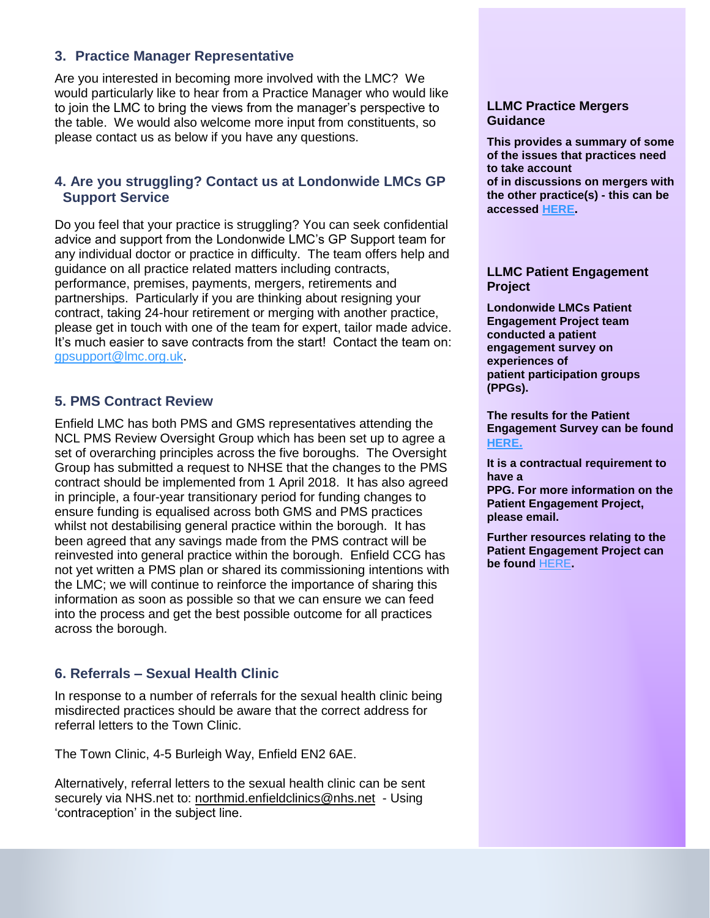# **3. Practice Manager Representative**

Are you interested in becoming more involved with the LMC? We would particularly like to hear from a Practice Manager who would like to join the LMC to bring the views from the manager's perspective to the table. We would also welcome more input from constituents, so please contact us as below if you have any questions.

# **4. Are you struggling? Contact us at Londonwide LMCs GP Support Service**

Do you feel that your practice is struggling? You can seek confidential advice and support from the Londonwide LMC's GP Support team for any individual doctor or practice in difficulty. The team offers help and guidance on all practice related matters including contracts, performance, premises, payments, mergers, retirements and partnerships. Particularly if you are thinking about resigning your contract, taking 24-hour retirement or merging with another practice, please get in touch with one of the team for expert, tailor made advice. It's much easier to save contracts from the start! Contact the team on: [gpsupport@lmc.org.uk.](mailto:gpsupport@lmc.org.uk)

# **5. PMS Contract Review**

Enfield LMC has both PMS and GMS representatives attending the NCL PMS Review Oversight Group which has been set up to agree a set of overarching principles across the five boroughs. The Oversight Group has submitted a request to NHSE that the changes to the PMS contract should be implemented from 1 April 2018. It has also agreed in principle, a four-year transitionary period for funding changes to ensure funding is equalised across both GMS and PMS practices whilst not destabilising general practice within the borough. It has been agreed that any savings made from the PMS contract will be reinvested into general practice within the borough. Enfield CCG has not yet written a PMS plan or shared its commissioning intentions with the LMC; we will continue to reinforce the importance of sharing this information as soon as possible so that we can ensure we can feed into the process and get the best possible outcome for all practices across the borough.

# **6. Referrals – Sexual Health Clinic**

In response to a number of referrals for the sexual health clinic being misdirected practices should be aware that the correct address for referral letters to the Town Clinic.

The Town Clinic, 4-5 Burleigh Way, Enfield EN2 6AE.

Alternatively, referral letters to the sexual health clinic can be sent securely via NHS.net to: [northmid.enfieldclinics@nhs.net](mailto:northmid.enfieldclinics@nhs.net) - Using 'contraception' in the subject line.

#### **LLMC Practice Mergers Guidance**

**This provides a summary of some of the issues that practices need to take account of in discussions on mergers with the other practice(s) - this can be accessed [HERE](http://www.lmc.org.uk/visageimages/guidance/2016/Practice%20Mergers%20Guidance.pdf).**

#### **LLMC Patient Engagement Project**

**Londonwide LMCs Patient Engagement Project team conducted a patient engagement survey on experiences of patient participation groups (PPGs).**

**The results for the Patient Engagement Survey can be found [HERE](https://www.lmc.org.uk/article.php?group_id=16207).** 

**It is a contractual requirement to have a** 

**PPG. For more information on the Patient Engagement Project, please email.**

**Further resources relating to the Patient Engagement Project can be found** [HERE](https://www.lmc.org.uk/patient-engagement)**.**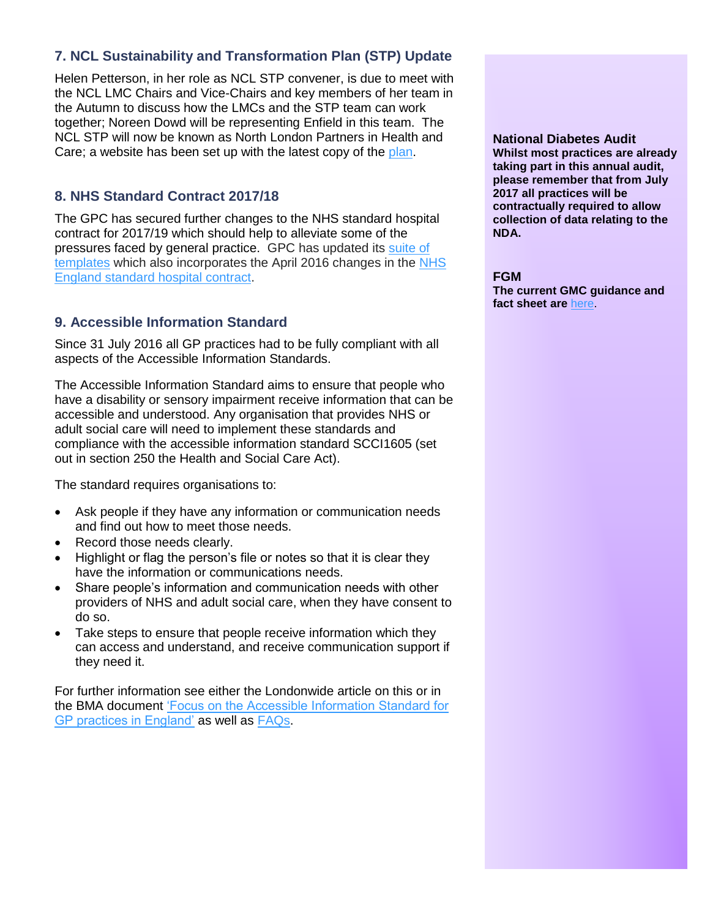# **7. NCL Sustainability and Transformation Plan (STP) Update**

Helen Petterson, in her role as NCL STP convener, is due to meet with the NCL LMC Chairs and Vice-Chairs and key members of her team in the Autumn to discuss how the LMCs and the STP team can work together; Noreen Dowd will be representing Enfield in this team. The NCL STP will now be known as North London Partners in Health and Care; a website has been set up with the latest copy of the [plan.](http://www.northlondonpartners.org.uk/ourplan/)

# **8. NHS Standard Contract 2017/18**

The GPC has secured further changes to the NHS standard hospital contract for 2017/19 which should help to alleviate some of the pressures faced by general practice. GPC has updated its [suite of](https://www.bma.org.uk/collective-voice/committees/general-practitioners-committee/gpc-current-issues/nhs-england-standard-hospital-contract-guidance)  [templates](https://www.bma.org.uk/collective-voice/committees/general-practitioners-committee/gpc-current-issues/nhs-england-standard-hospital-contract-guidance) which also incorporates the April 2016 changes in the [NHS](https://www.england.nhs.uk/wp-content/uploads/2016/07/letter-contract-requirements.pdf)  [England standard hospital contract.](https://www.england.nhs.uk/wp-content/uploads/2016/07/letter-contract-requirements.pdf)

# **9. Accessible Information Standard**

Since 31 July 2016 all GP practices had to be fully compliant with all aspects of the Accessible Information Standards.

The Accessible Information Standard aims to ensure that people who have a disability or sensory impairment receive information that can be accessible and understood. Any organisation that provides NHS or adult social care will need to implement these standards and compliance with the accessible information standard SCCI1605 (set out in section 250 the Health and Social Care Act).

The standard requires organisations to:

- Ask people if they have any information or communication needs and find out how to meet those needs.
- Record those needs clearly.
- Highlight or flag the person's file or notes so that it is clear they have the information or communications needs.
- Share people's information and communication needs with other providers of NHS and adult social care, when they have consent to do so.
- Take steps to ensure that people receive information which they can access and understand, and receive communication support if they need it.

For further information see either the Londonwide article on this or in the BMA document ['Focus on the Accessible Information Standard for](http://www.lmc.org.uk/visageimages/pdfs/2016/LLMC%20Newsletters/BMA_Focus-on-the-Accessible-Information-Standard-April-2016%20%282%29.pdf)  [GP practices in England'](http://www.lmc.org.uk/visageimages/pdfs/2016/LLMC%20Newsletters/BMA_Focus-on-the-Accessible-Information-Standard-April-2016%20%282%29.pdf) as well as [FAQs.](http://www.lmc.org.uk/visageimages/pdfs/2016/LLMC%20Newsletters/Accessible%20information%20standard%20insert%201.pdf)

**National Diabetes Audit**

**Whilst most practices are already taking part in this annual audit, please remember that from July 2017 all practices will be contractually required to allow collection of data relating to the NDA.**

#### **FGM**

**The current GMC guidance and fact sheet are** [here.](http://www.gmc-uk.org/guidance/27724.asp)